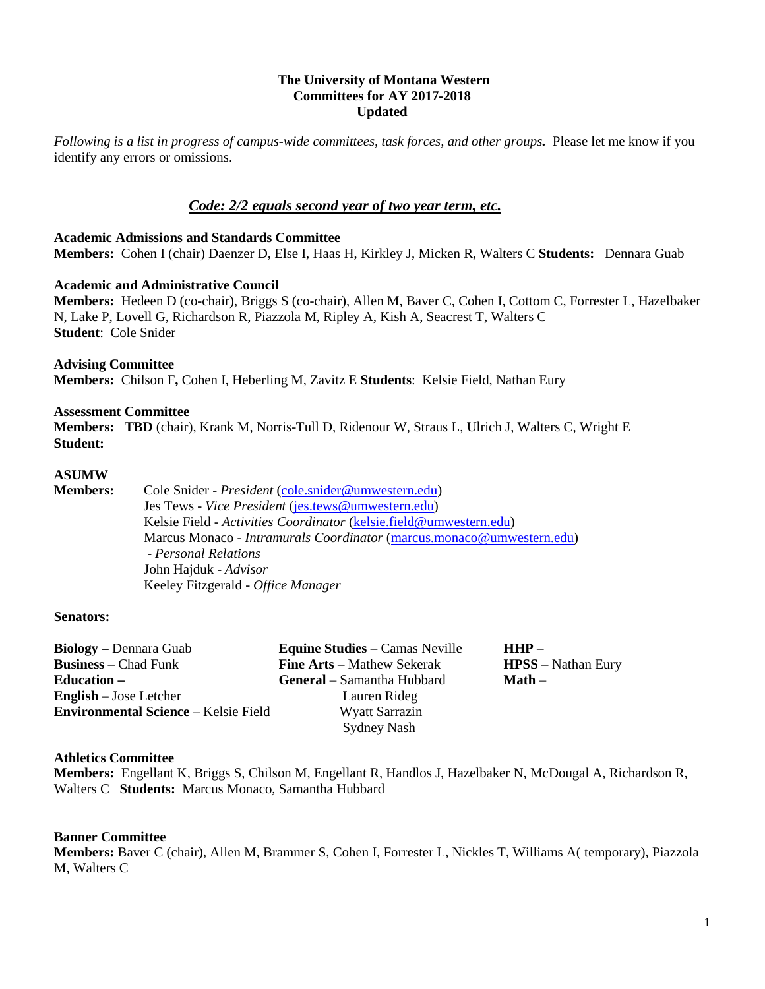## **The University of Montana Western Committees for AY 2017-2018 Updated**

*Following is a list in progress of campus-wide committees, task forces, and other groups.* Please let me know if you identify any errors or omissions.

# *Code: 2/2 equals second year of two year term, etc.*

#### **Academic Admissions and Standards Committee Members:** Cohen I (chair) Daenzer D, Else I, Haas H, Kirkley J, Micken R, Walters C **Students:** Dennara Guab

## **Academic and Administrative Council**

**Members:** Hedeen D (co-chair), Briggs S (co-chair), Allen M, Baver C, Cohen I, Cottom C, Forrester L, Hazelbaker N, Lake P, Lovell G, Richardson R, Piazzola M, Ripley A, Kish A, Seacrest T, Walters C **Student**: Cole Snider

### **Advising Committee**

**Members:** Chilson F**,** Cohen I, Heberling M, Zavitz E **Students**: Kelsie Field, Nathan Eury

### **Assessment Committee**

**Members: TBD** (chair), Krank M, Norris-Tull D, Ridenour W, Straus L, Ulrich J, Walters C, Wright E **Student:** 

## **ASUMW**

**Members:** Cole Snider - *President* [\(cole.snider@umwestern.edu\)](mailto:cole.snider@umwestern.edu) Jes Tews - *Vice President* [\(jes.tews@umwestern.edu\)](mailto:jes.tews@umwestern.edu) Kelsie Field - *Activities Coordinator* [\(kelsie.field@umwestern.edu\)](mailto:kelsie.field@umwestern.edu) Marcus Monaco - *Intramurals Coordinator* [\(marcus.monaco@umwestern.edu\)](mailto:marcus.monaco@umwestern.edu) - *Personal Relations* John Hajduk - *Advisor* Keeley Fitzgerald - *Office Manager*

#### **Senators:**

| <b>Biology</b> – Dennara Guab               | <b>Equine Studies</b> – Camas Neville | $HHP =$                   |
|---------------------------------------------|---------------------------------------|---------------------------|
| <b>Business</b> – Chad Funk                 | <b>Fine Arts</b> – Mathew Sekerak     | <b>HPSS</b> – Nathan Eury |
| <b>Education</b> –                          | <b>General</b> – Samantha Hubbard     | $Math -$                  |
| <b>English</b> – Jose Letcher               | Lauren Rideg                          |                           |
| <b>Environmental Science – Kelsie Field</b> | <b>Wyatt Sarrazin</b>                 |                           |
|                                             | <b>Sydney Nash</b>                    |                           |

## **Athletics Committee**

**Members:** Engellant K, Briggs S, Chilson M, Engellant R, Handlos J, Hazelbaker N, McDougal A, Richardson R, Walters C **Students:** Marcus Monaco, Samantha Hubbard

#### **Banner Committee**

**Members:** Baver C (chair), Allen M, Brammer S, Cohen I, Forrester L, Nickles T, Williams A( temporary), Piazzola M, Walters C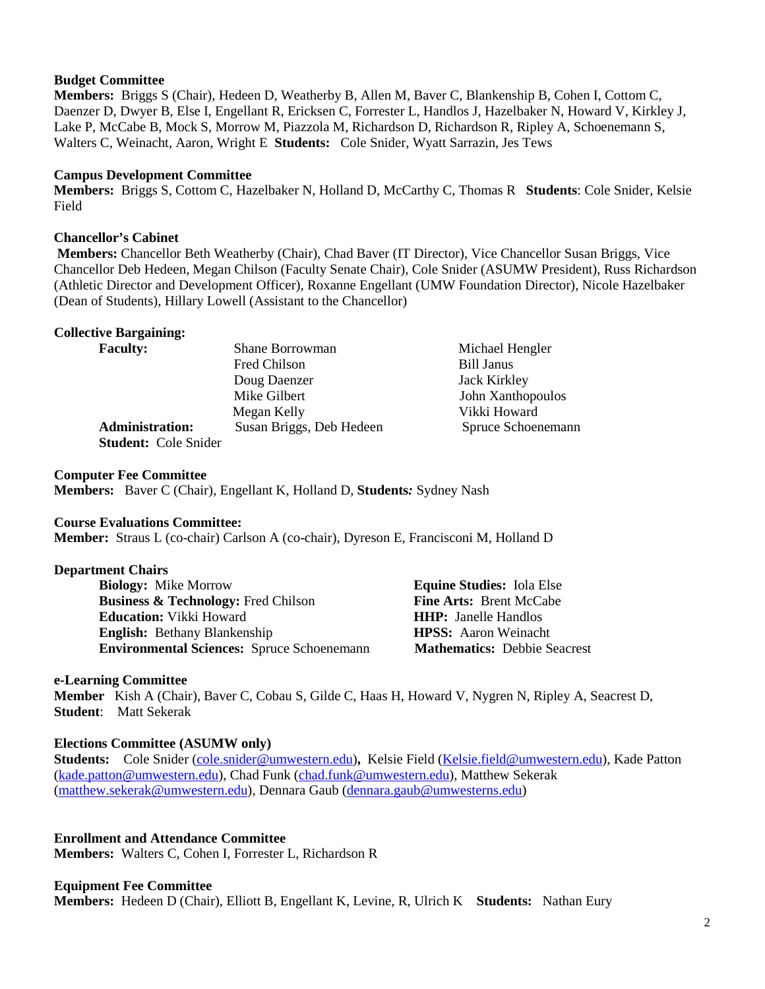## **Budget Committee**

**Members:** Briggs S (Chair), Hedeen D, Weatherby B, Allen M, Baver C, Blankenship B, Cohen I, Cottom C, Daenzer D, Dwyer B, Else I, Engellant R, Ericksen C, Forrester L, Handlos J, Hazelbaker N, Howard V, Kirkley J, Lake P, McCabe B, Mock S, Morrow M, Piazzola M, Richardson D, Richardson R, Ripley A, Schoenemann S, Walters C, Weinacht, Aaron, Wright E **Students:** Cole Snider, Wyatt Sarrazin, Jes Tews

## **Campus Development Committee**

**Members:** Briggs S, Cottom C, Hazelbaker N, Holland D, McCarthy C, Thomas R **Students**: Cole Snider, Kelsie Field

## **Chancellor's Cabinet**

**Members:** Chancellor Beth Weatherby (Chair), Chad Baver (IT Director), Vice Chancellor Susan Briggs, Vice Chancellor Deb Hedeen, Megan Chilson (Faculty Senate Chair), Cole Snider (ASUMW President), Russ Richardson (Athletic Director and Development Officer), Roxanne Engellant (UMW Foundation Director), Nicole Hazelbaker (Dean of Students), Hillary Lowell (Assistant to the Chancellor)

## **Collective Bargaining:**

| <b>Faculty:</b>        | Shane Borrowman          | Michael Hengler     |
|------------------------|--------------------------|---------------------|
|                        | Fred Chilson             | <b>Bill Janus</b>   |
|                        | Doug Daenzer             | <b>Jack Kirkley</b> |
|                        | Mike Gilbert             | John Xanthopoulos   |
|                        | Megan Kelly              | Vikki Howard        |
| <b>Administration:</b> | Susan Briggs, Deb Hedeen | Spruce Schoenemann  |
|                        |                          |                     |

**Student:** Cole Snider

## **Computer Fee Committee**

**Members:** Baver C (Chair), Engellant K, Holland D, **Students***:* Sydney Nash

## **Course Evaluations Committee:**

**Member:** Straus L (co-chair) Carlson A (co-chair), Dyreson E, Francisconi M, Holland D

## **Department Chairs**

**Biology:** Mike Morrow **Equine Studies:** Iola Else **Business & Technology:** Fred Chilson **Fine Arts:** Brent McCabe **Education:** Vikki Howard **HHP:** Janelle Handlos **English:** Bethany Blankenship **HPSS:** Aaron Weinacht **Environmental Sciences:** Spruce Schoenemann **Mathematics:** Debbie Seacrest

## **e-Learning Committee**

**Member** Kish A (Chair), Baver C, Cobau S, Gilde C, Haas H, Howard V, Nygren N, Ripley A, Seacrest D, **Student**: Matt Sekerak

## **Elections Committee (ASUMW only)**

**Students:** Cole Snider [\(cole.snider@umwestern.edu\)](mailto:cole.snider@umwestern.edu)**,** Kelsie Field [\(Kelsie.field@umwestern.edu\)](mailto:Kelsie.field@umwestern.edu), Kade Patton [\(kade.patton@umwestern.edu\)](mailto:kade.patton@umwestern.edu), Chad Funk [\(chad.funk@umwestern.edu\)](mailto:chad.funk@umwestern.edu), Matthew Sekerak [\(matthew.sekerak@umwestern.edu\)](mailto:matthew.sekerak@umwestern.edu), Dennara Gaub [\(dennara.gaub@umwesterns.edu\)](mailto:dennara.gaub@umwesterns.edu)

**Enrollment and Attendance Committee Members:** Walters C, Cohen I, Forrester L, Richardson R

## **Equipment Fee Committee**

**Members:** Hedeen D (Chair), Elliott B, Engellant K, Levine, R, Ulrich K **Students:** Nathan Eury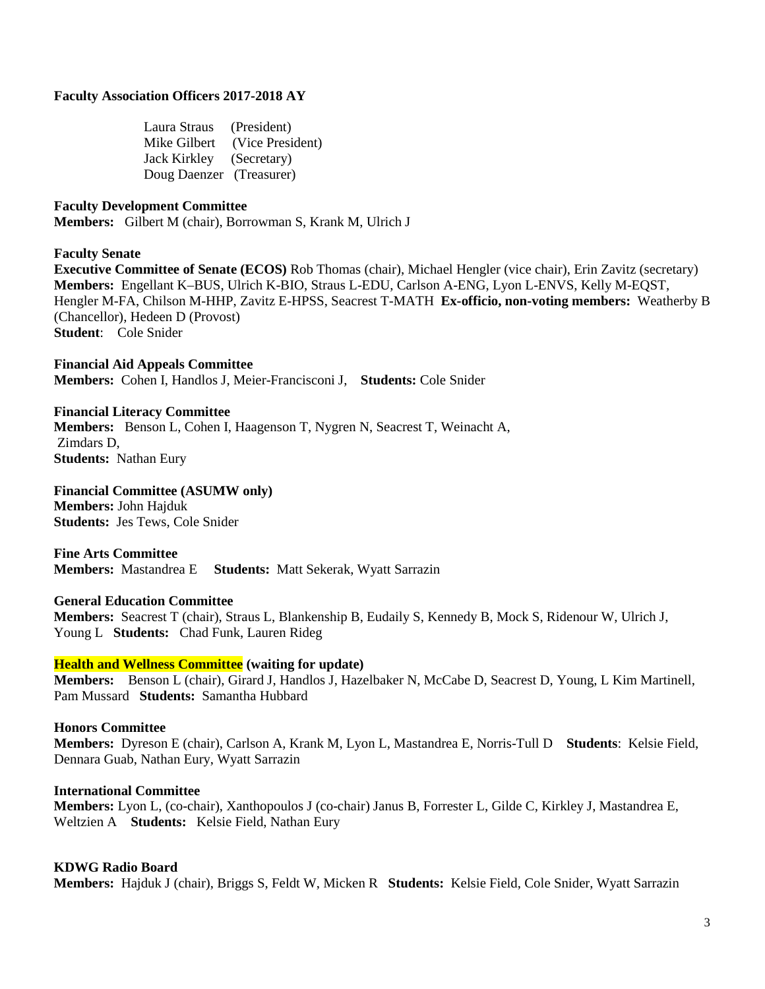### **Faculty Association Officers 2017-2018 AY**

Laura Straus (President) Mike Gilbert (Vice President) Jack Kirkley (Secretary) Doug Daenzer (Treasurer)

### **Faculty Development Committee**

**Members:** Gilbert M (chair), Borrowman S, Krank M, Ulrich J

#### **Faculty Senate**

**Executive Committee of Senate (ECOS)** Rob Thomas (chair), Michael Hengler (vice chair), Erin Zavitz (secretary) **Members:** Engellant K–BUS, Ulrich K-BIO, Straus L-EDU, Carlson A-ENG, Lyon L-ENVS, Kelly M-EQST, Hengler M-FA, Chilson M-HHP, Zavitz E-HPSS, Seacrest T-MATH **Ex-officio, non-voting members:** Weatherby B (Chancellor), Hedeen D (Provost) **Student**: Cole Snider

**Financial Aid Appeals Committee Members:** Cohen I, Handlos J, Meier-Francisconi J, **Students:** Cole Snider

#### **Financial Literacy Committee**

**Members:** Benson L, Cohen I, Haagenson T, Nygren N, Seacrest T, Weinacht A, Zimdars D, **Students:** Nathan Eury

**Financial Committee (ASUMW only) Members:** John Hajduk **Students:** Jes Tews, Cole Snider

**Fine Arts Committee Members:** Mastandrea E **Students:** Matt Sekerak, Wyatt Sarrazin

#### **General Education Committee**

**Members:** Seacrest T (chair), Straus L, Blankenship B, Eudaily S, Kennedy B, Mock S, Ridenour W, Ulrich J, Young L **Students:** Chad Funk, Lauren Rideg

#### **Health and Wellness Committee (waiting for update)**

**Members:** Benson L (chair), Girard J, Handlos J, Hazelbaker N, McCabe D, Seacrest D, Young, L Kim Martinell, Pam Mussard **Students:** Samantha Hubbard

### **Honors Committee**

**Members:** Dyreson E (chair), Carlson A, Krank M, Lyon L, Mastandrea E, Norris-Tull D **Students**: Kelsie Field, Dennara Guab, Nathan Eury, Wyatt Sarrazin

#### **International Committee**

**Members:** Lyon L, (co-chair), Xanthopoulos J (co-chair) Janus B, Forrester L, Gilde C, Kirkley J, Mastandrea E, Weltzien A **Students:** Kelsie Field, Nathan Eury

#### **KDWG Radio Board**

**Members:** Hajduk J (chair), Briggs S, Feldt W, Micken R **Students:** Kelsie Field, Cole Snider, Wyatt Sarrazin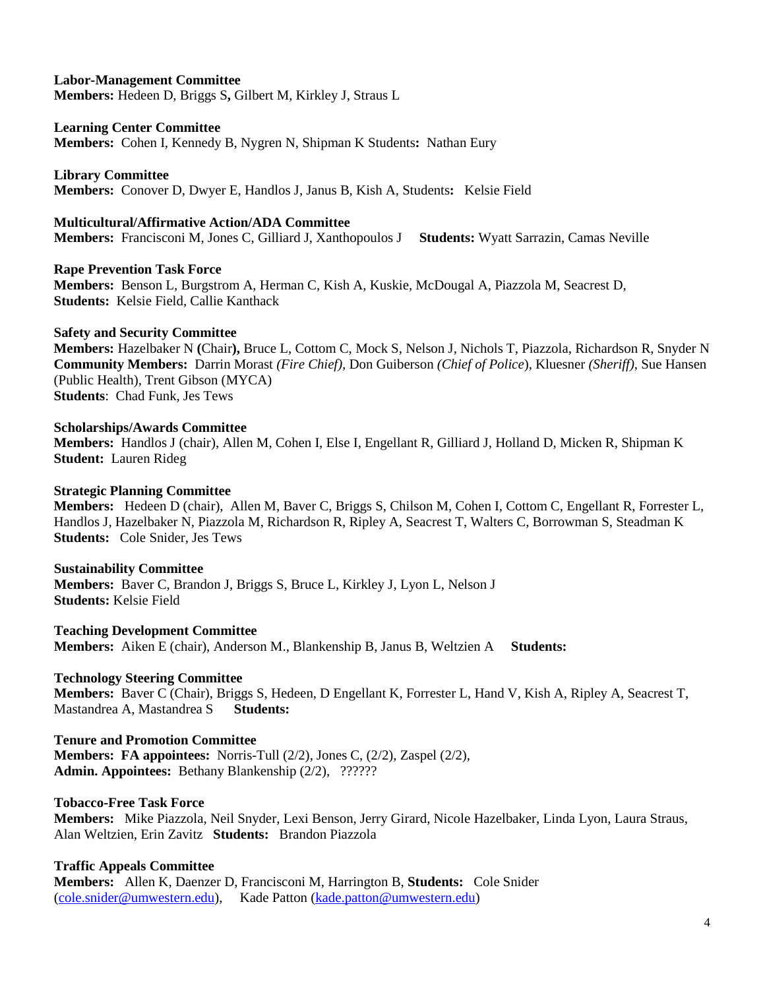# **Labor-Management Committee**

**Members:** Hedeen D, Briggs S**,** Gilbert M, Kirkley J, Straus L

### **Learning Center Committee**

**Members:** Cohen I, Kennedy B, Nygren N, Shipman K Students**:** Nathan Eury

**Library Committee**

**Members:** Conover D, Dwyer E, Handlos J, Janus B, Kish A, Students**:** Kelsie Field

### **Multicultural/Affirmative Action/ADA Committee**

**Members:** Francisconi M, Jones C, Gilliard J, Xanthopoulos J **Students:** Wyatt Sarrazin, Camas Neville

## **Rape Prevention Task Force**

**Members:** Benson L, Burgstrom A, Herman C, Kish A, Kuskie, McDougal A, Piazzola M, Seacrest D, **Students:** Kelsie Field, Callie Kanthack

### **Safety and Security Committee**

**Members:** Hazelbaker N **(**Chair**),** Bruce L, Cottom C, Mock S, Nelson J, Nichols T, Piazzola, Richardson R, Snyder N **Community Members:** Darrin Morast *(Fire Chief),* Don Guiberson *(Chief of Police*), Kluesner *(Sheriff)*, Sue Hansen (Public Health), Trent Gibson (MYCA) **Students**: Chad Funk, Jes Tews

## **Scholarships/Awards Committee**

**Members:** Handlos J (chair), Allen M, Cohen I, Else I, Engellant R, Gilliard J, Holland D, Micken R, Shipman K **Student:** Lauren Rideg

### **Strategic Planning Committee**

**Members:** Hedeen D (chair), Allen M, Baver C, Briggs S, Chilson M, Cohen I, Cottom C, Engellant R, Forrester L, Handlos J, Hazelbaker N, Piazzola M, Richardson R, Ripley A, Seacrest T, Walters C, Borrowman S, Steadman K **Students:** Cole Snider, Jes Tews

#### **Sustainability Committee**

**Members:** Baver C, Brandon J, Briggs S, Bruce L, Kirkley J, Lyon L, Nelson J **Students:** Kelsie Field

# **Teaching Development Committee**

**Members:** Aiken E (chair), Anderson M., Blankenship B, Janus B, Weltzien A **Students:** 

## **Technology Steering Committee**

**Members:** Baver C (Chair), Briggs S, Hedeen, D Engellant K, Forrester L, Hand V, Kish A, Ripley A, Seacrest T, Mastandrea A, Mastandrea S **Students:** 

## **Tenure and Promotion Committee**

**Members: FA appointees:** Norris-Tull (2/2), Jones C, (2/2), Zaspel (2/2), **Admin. Appointees:** Bethany Blankenship (2/2), ??????

# **Tobacco-Free Task Force**

**Members:** Mike Piazzola, Neil Snyder, Lexi Benson, Jerry Girard, Nicole Hazelbaker, Linda Lyon, Laura Straus, Alan Weltzien, Erin Zavitz **Students:** Brandon Piazzola

## **Traffic Appeals Committee**

**Members:** Allen K, Daenzer D, Francisconi M, Harrington B, **Students:** Cole Snider [\(cole.snider@umwestern.edu\)](mailto:cole.snider@umwestern.edu), Kade Patton [\(kade.patton@umwestern.edu\)](mailto:kade.patton@umwestern.edu)